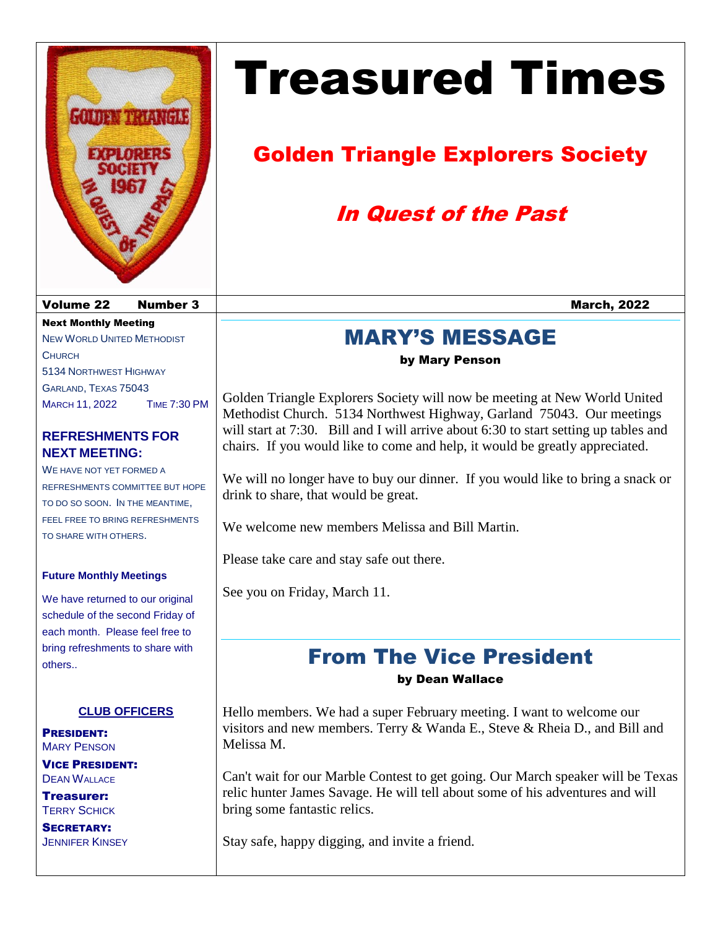

# Treasured Times

# Golden Triangle Explorers Society

# In Quest of the Past

### MARY'S MESSAGE

by Mary Penson

Golden Triangle Explorers Society will now be meeting at New World United Methodist Church. 5134 Northwest Highway, Garland 75043. Our meetings will start at 7:30. Bill and I will arrive about 6:30 to start setting up tables and chairs. If you would like to come and help, it would be greatly appreciated.

We will no longer have to buy our dinner. If you would like to bring a snack or drink to share, that would be great.

We welcome new members Melissa and Bill Martin.

Please take care and stay safe out there.

See you on Friday, March 11.

## From The Vice President

by Dean Wallace

Hello members. We had a super February meeting. I want to welcome our visitors and new members. Terry & Wanda E., Steve & Rheia D., and Bill and Melissa M.

Can't wait for our Marble Contest to get going. Our March speaker will be Texas relic hunter James Savage. He will tell about some of his adventures and will bring some fantastic relics.

Stay safe, happy digging, and invite a friend.

volume 22 Number 3 Number 3 Number 3 Number 3 Number 3 Number 2022

Next Monthly Meeting NEW WORLD UNITED METHODIST **CHURCH** 5134 NORTHWEST HIGHWAY GARLAND, TEXAS 75043 MARCH 11, 2022 TIME 7:30 PM

### **REFRESHMENTS FOR NEXT MEETING:**

WE HAVE NOT YET FORMED A REFRESHMENTS COMMITTEE BUT HOPE TO DO SO SOON. IN THE MEANTIME, FEEL FREE TO BRING REFRESHMENTS TO SHARE WITH OTHERS.

#### **Future Monthly Meetings**

We have returned to our original schedule of the second Friday of each month. Please feel free to bring refreshments to share with others..

### **CLUB OFFICERS**

PRESIDENT: MARY PENSON VICE PRESIDENT:

**DEAN WALLACE** Treasurer:

TERRY SCHICK SECRETARY: **JENNIFER KINSEY**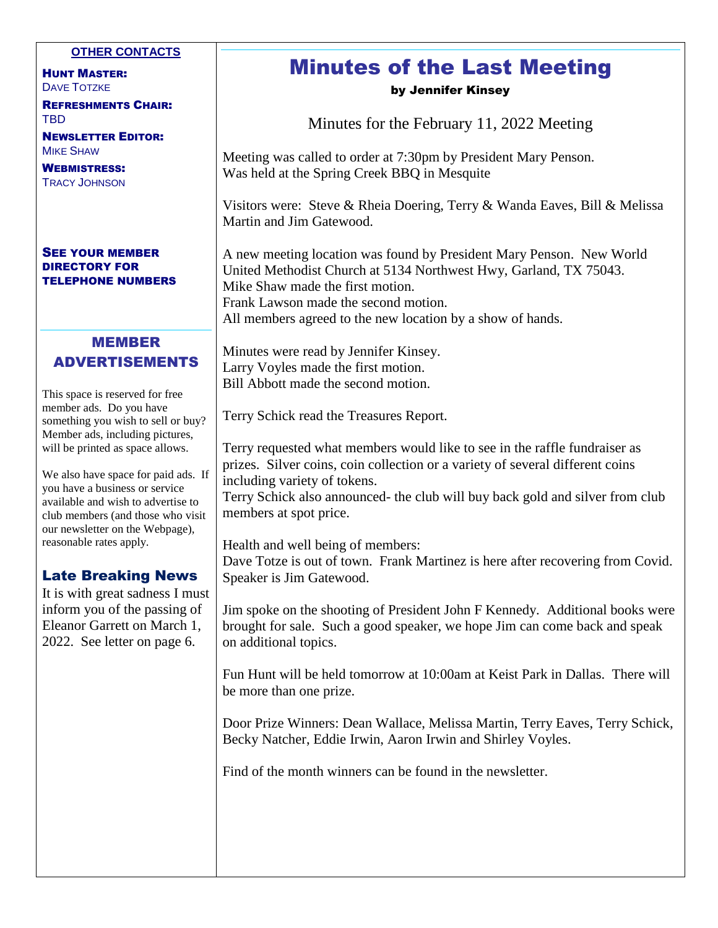#### **OTHER CONTACTS**

HUNT MASTER: DAVE TOTZKE

REFRESHMENTS CHAIR: TBD

NEWSLETTER EDITOR: MIKE SHAW

WEBMISTRESS: TRACY JOHNSON

#### SEE YOUR MEMBER DIRECTORY FOR TELEPHONE NUMBERS

### MEMBER ADVERTISEMENTS

This space is reserved for free member ads. Do you have something you wish to sell or buy? Member ads, including pictures, will be printed as space allows.

We also have space for paid ads. If you have a business or service available and wish to advertise to club members (and those who visit our newsletter on the Webpage), reasonable rates apply.

#### Late Breaking News

It is with great sadness I must inform you of the passing of Eleanor Garrett on March 1, 2022. See letter on page 6.

# Minutes of the Last Meeting

by Jennifer Kinsey

Minutes for the February 11, 2022 Meeting

Meeting was called to order at 7:30pm by President Mary Penson. Was held at the Spring Creek BBQ in Mesquite

Visitors were: Steve & Rheia Doering, Terry & Wanda Eaves, Bill & Melissa Martin and Jim Gatewood.

A new meeting location was found by President Mary Penson. New World United Methodist Church at 5134 Northwest Hwy, Garland, TX 75043. Mike Shaw made the first motion. Frank Lawson made the second motion. All members agreed to the new location by a show of hands.

Minutes were read by Jennifer Kinsey. Larry Voyles made the first motion. Bill Abbott made the second motion.

Terry Schick read the Treasures Report.

Terry requested what members would like to see in the raffle fundraiser as prizes. Silver coins, coin collection or a variety of several different coins including variety of tokens.

Terry Schick also announced- the club will buy back gold and silver from club members at spot price.

Health and well being of members:

Dave Totze is out of town. Frank Martinez is here after recovering from Covid. Speaker is Jim Gatewood.

Jim spoke on the shooting of President John F Kennedy. Additional books were brought for sale. Such a good speaker, we hope Jim can come back and speak on additional topics.

Fun Hunt will be held tomorrow at 10:00am at Keist Park in Dallas. There will be more than one prize.

Door Prize Winners: Dean Wallace, Melissa Martin, Terry Eaves, Terry Schick, Becky Natcher, Eddie Irwin, Aaron Irwin and Shirley Voyles.

Find of the month winners can be found in the newsletter.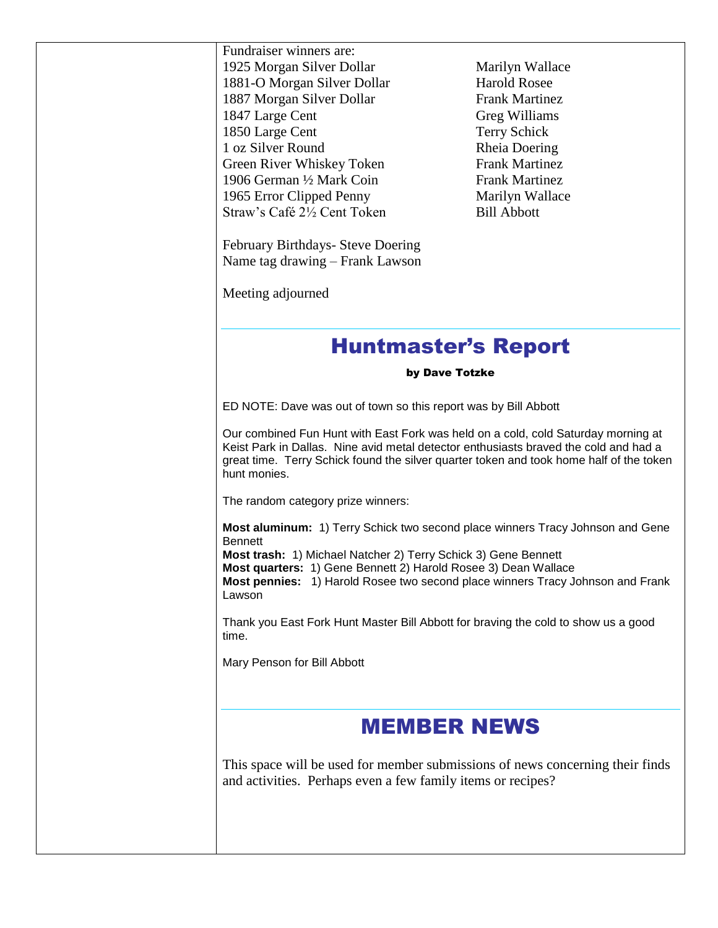| Fundraiser winners are:<br>1925 Morgan Silver Dollar<br>1881-O Morgan Silver Dollar<br>1887 Morgan Silver Dollar<br>1847 Large Cent<br>1850 Large Cent                                                                                                                                                                           | Marilyn Wallace<br><b>Harold Rosee</b><br><b>Frank Martinez</b><br>Greg Williams<br>Terry Schick |
|----------------------------------------------------------------------------------------------------------------------------------------------------------------------------------------------------------------------------------------------------------------------------------------------------------------------------------|--------------------------------------------------------------------------------------------------|
| 1 oz Silver Round<br>Green River Whiskey Token<br>1906 German 1/2 Mark Coin                                                                                                                                                                                                                                                      | Rheia Doering<br><b>Frank Martinez</b><br><b>Frank Martinez</b>                                  |
| 1965 Error Clipped Penny<br>Straw's Café 2½ Cent Token                                                                                                                                                                                                                                                                           | Marilyn Wallace<br><b>Bill Abbott</b>                                                            |
| February Birthdays- Steve Doering<br>Name tag drawing – Frank Lawson                                                                                                                                                                                                                                                             |                                                                                                  |
| Meeting adjourned                                                                                                                                                                                                                                                                                                                |                                                                                                  |
| <b>Huntmaster's Report</b>                                                                                                                                                                                                                                                                                                       |                                                                                                  |
| by Dave Totzke                                                                                                                                                                                                                                                                                                                   |                                                                                                  |
| ED NOTE: Dave was out of town so this report was by Bill Abbott                                                                                                                                                                                                                                                                  |                                                                                                  |
| Our combined Fun Hunt with East Fork was held on a cold, cold Saturday morning at<br>Keist Park in Dallas. Nine avid metal detector enthusiasts braved the cold and had a<br>great time. Terry Schick found the silver quarter token and took home half of the token<br>hunt monies.                                             |                                                                                                  |
| The random category prize winners:                                                                                                                                                                                                                                                                                               |                                                                                                  |
| Most aluminum: 1) Terry Schick two second place winners Tracy Johnson and Gene<br><b>Bennett</b><br>Most trash: 1) Michael Natcher 2) Terry Schick 3) Gene Bennett<br>Most quarters: 1) Gene Bennett 2) Harold Rosee 3) Dean Wallace<br>Most pennies: 1) Harold Rosee two second place winners Tracy Johnson and Frank<br>Lawson |                                                                                                  |
| Thank you East Fork Hunt Master Bill Abbott for braving the cold to show us a good<br>time.                                                                                                                                                                                                                                      |                                                                                                  |
| Mary Penson for Bill Abbott                                                                                                                                                                                                                                                                                                      |                                                                                                  |
|                                                                                                                                                                                                                                                                                                                                  |                                                                                                  |
| <b>MEMBER NEWS</b>                                                                                                                                                                                                                                                                                                               |                                                                                                  |
| This space will be used for member submissions of news concerning their finds<br>and activities. Perhaps even a few family items or recipes?                                                                                                                                                                                     |                                                                                                  |
|                                                                                                                                                                                                                                                                                                                                  |                                                                                                  |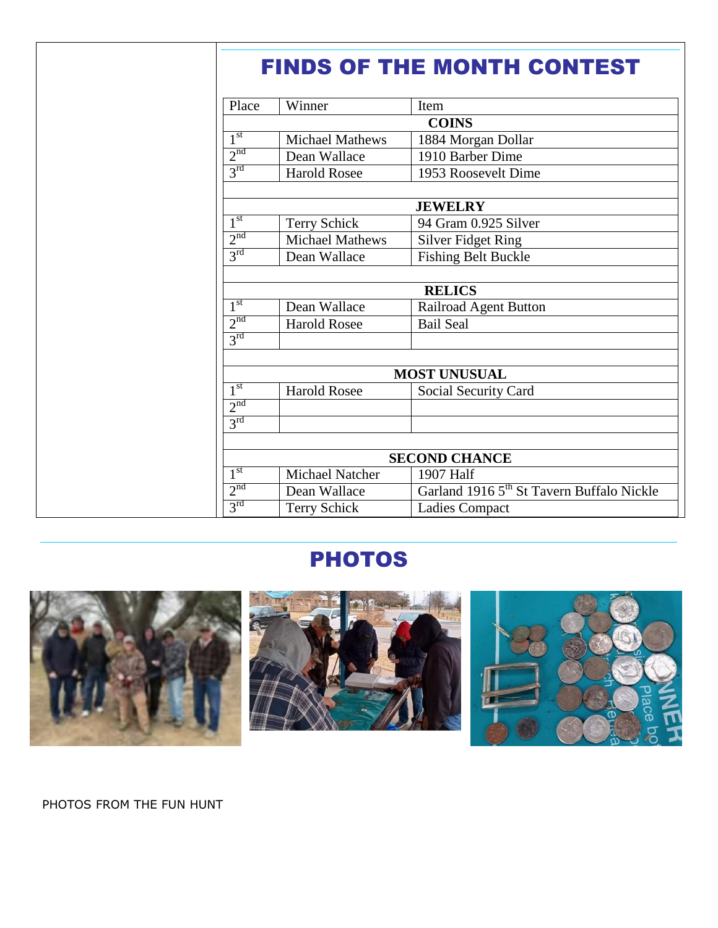| Place           | Winner                 | Item                                                  |
|-----------------|------------------------|-------------------------------------------------------|
|                 |                        | <b>COINS</b>                                          |
| 1 <sup>st</sup> | <b>Michael Mathews</b> | 1884 Morgan Dollar                                    |
| 2 <sup>nd</sup> | Dean Wallace           | 1910 Barber Dime                                      |
| 3 <sup>rd</sup> | <b>Harold Rosee</b>    | 1953 Roosevelt Dime                                   |
|                 |                        | <b>JEWELRY</b>                                        |
| 1 <sup>st</sup> | <b>Terry Schick</b>    | 94 Gram 0.925 Silver                                  |
| 2 <sup>nd</sup> | <b>Michael Mathews</b> | <b>Silver Fidget Ring</b>                             |
| 3 <sup>rd</sup> | Dean Wallace           | <b>Fishing Belt Buckle</b>                            |
|                 |                        |                                                       |
|                 |                        | <b>RELICS</b>                                         |
| 1 <sup>st</sup> | Dean Wallace           | <b>Railroad Agent Button</b>                          |
| 2 <sup>nd</sup> | <b>Harold Rosee</b>    | <b>Bail Seal</b>                                      |
| 3 <sup>rd</sup> |                        |                                                       |
|                 |                        | <b>MOST UNUSUAL</b>                                   |
| 1 <sup>st</sup> | <b>Harold Rosee</b>    | Social Security Card                                  |
| 2 <sup>nd</sup> |                        |                                                       |
| $3^{\text{rd}}$ |                        |                                                       |
|                 |                        |                                                       |
|                 |                        | <b>SECOND CHANCE</b>                                  |
| 1 <sup>st</sup> | Michael Natcher        | 1907 Half                                             |
| 2 <sup>nd</sup> | Dean Wallace           | Garland 1916 5 <sup>th</sup> St Tavern Buffalo Nickle |
| $3^{\text{rd}}$ | Terry Schick           | <b>Ladies Compact</b>                                 |

### **PHOTOS**



PHOTOS FROM THE FUN HUNT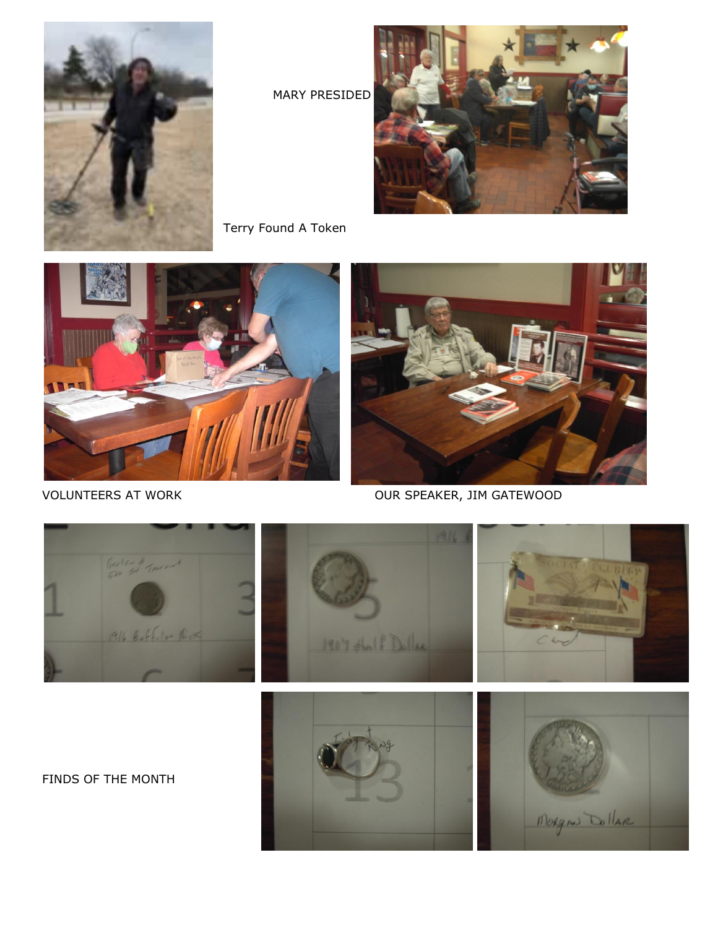

MARY PRESIDED

Terry Found A Token





VOLUNTEERS AT WORK OUR SPEAKER, JIM GATEWOOD

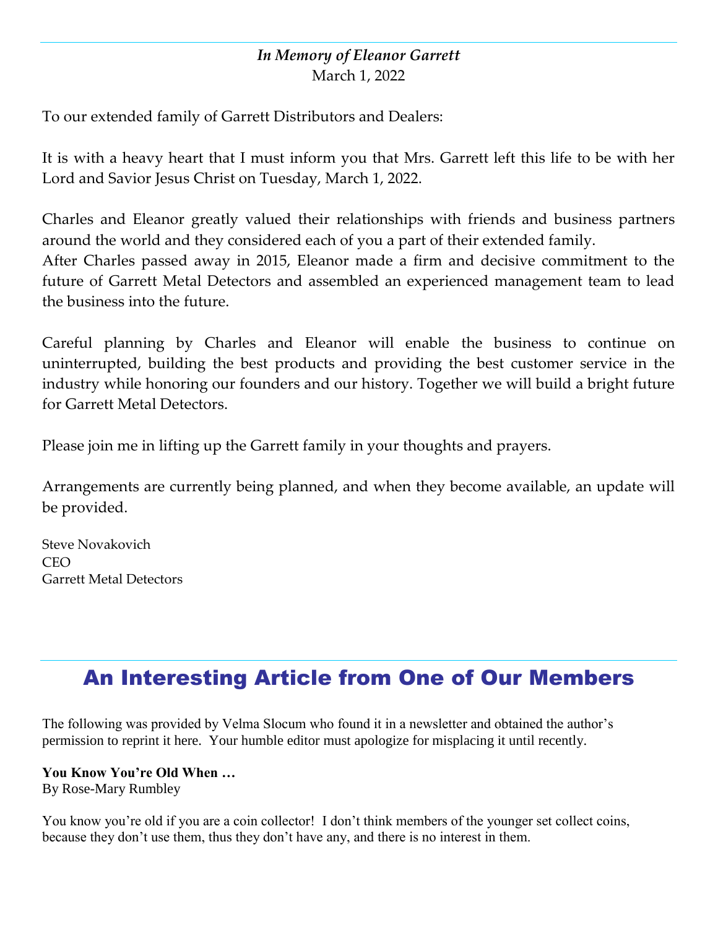### *In Memory of Eleanor Garrett* March 1, 2022

To our extended family of Garrett Distributors and Dealers:

It is with a heavy heart that I must inform you that Mrs. Garrett left this life to be with her Lord and Savior Jesus Christ on Tuesday, March 1, 2022.

Charles and Eleanor greatly valued their relationships with friends and business partners around the world and they considered each of you a part of their extended family. After Charles passed away in 2015, Eleanor made a firm and decisive commitment to the future of Garrett Metal Detectors and assembled an experienced management team to lead the business into the future.

Careful planning by Charles and Eleanor will enable the business to continue on uninterrupted, building the best products and providing the best customer service in the industry while honoring our founders and our history. Together we will build a bright future for Garrett Metal Detectors.

Please join me in lifting up the Garrett family in your thoughts and prayers.

Arrangements are currently being planned, and when they become available, an update will be provided.

Steve Novakovich CEO Garrett Metal Detectors

# An Interesting Article from One of Our Members

The following was provided by Velma Slocum who found it in a newsletter and obtained the author's permission to reprint it here. Your humble editor must apologize for misplacing it until recently.

### **You Know You're Old When …**

By Rose-Mary Rumbley

You know you're old if you are a coin collector! I don't think members of the younger set collect coins, because they don't use them, thus they don't have any, and there is no interest in them.